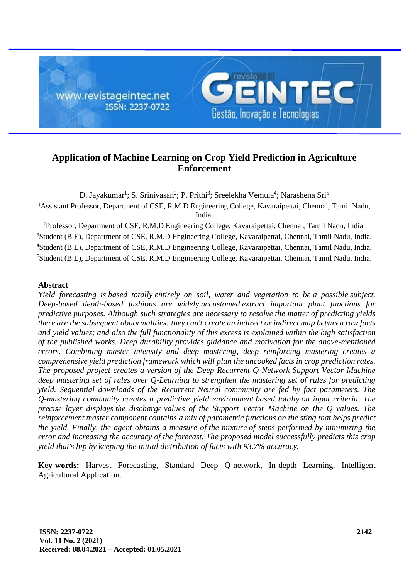

# **Application of Machine Learning on Crop Yield Prediction in Agriculture Enforcement**

D. Jayakumar<sup>1</sup>; S. Srinivasan<sup>2</sup>; P. Prithi<sup>3</sup>; Sreelekha Vemula<sup>4</sup>; Narashena Sri<sup>5</sup> <sup>1</sup>Assistant Professor, Department of CSE, R.M.D Engineering College, Kavaraipettai, Chennai, Tamil Nadu, India.

<sup>2</sup>Professor, Department of CSE, R.M.D Engineering College, Kavaraipettai, Chennai, Tamil Nadu, India. <sup>3</sup>Student (B.E), Department of CSE, R.M.D Engineering College, Kavaraipettai, Chennai, Tamil Nadu, India. <sup>4</sup>Student (B.E), Department of CSE, R.M.D Engineering College, Kavaraipettai, Chennai, Tamil Nadu, India. <sup>5</sup>Student (B.E), Department of CSE, R.M.D Engineering College, Kavaraipettai, Chennai, Tamil Nadu, India.

# **Abstract**

*Yield forecasting is based totally entirely on soil, water and vegetation to be a possible subject. Deep-based depth-based fashions are widely accustomed extract important plant functions for predictive purposes. Although such strategies are necessary to resolve the matter of predicting yields there are the subsequent abnormalities: they can't create an indirect or indirect map between raw facts and yield values; and also the full functionality of this excess is explained within the high satisfaction of the published works. Deep durability provides guidance and motivation for the above-mentioned errors. Combining master intensity and deep mastering, deep reinforcing mastering creates a comprehensive yield prediction framework which will plan the uncooked facts in crop prediction rates. The proposed project creates a version of the Deep Recurrent Q-Network Support Vector Machine deep mastering set of rules over Q-Learning to strengthen the mastering set of rules for predicting yield. Sequential downloads of the Recurrent Neural community are fed by fact parameters. The Q-mastering community creates a predictive yield environment based totally on input criteria. The precise layer displays the discharge values of the Support Vector Machine on the Q values. The reinforcement master component contains a mix of parametric functions on the sting that helps predict the yield. Finally, the agent obtains a measure of the mixture of steps performed by minimizing the error and increasing the accuracy of the forecast. The proposed model successfully predicts this crop yield that's hip by keeping the initial distribution of facts with 93.7% accuracy.*

**Key-words:** Harvest Forecasting, Standard Deep Q-network, In-depth Learning, Intelligent Agricultural Application.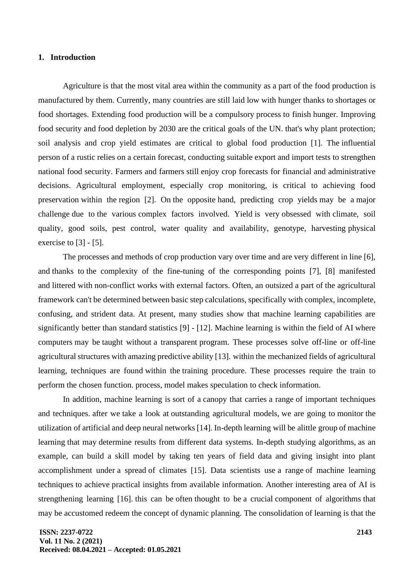## **1. Introduction**

Agriculture is that the most vital area within the community as a part of the food production is manufactured by them. Currently, many countries are still laid low with hunger thanks to shortages or food shortages. Extending food production will be a compulsory process to finish hunger. Improving food security and food depletion by 2030 are the critical goals of the UN. that's why plant protection; soil analysis and crop yield estimates are critical to global food production [1]. The influential person of a rustic relies on a certain forecast, conducting suitable export and import tests to strengthen national food security. Farmers and farmers still enjoy crop forecasts for financial and administrative decisions. Agricultural employment, especially crop monitoring, is critical to achieving food preservation within the region [2]. On the opposite hand, predicting crop yields may be a major challenge due to the various complex factors involved. Yield is very obsessed with climate, soil quality, good soils, pest control, water quality and availability, genotype, harvesting physical exercise to [3] - [5].

The processes and methods of crop production vary over time and are very different in line [6], and thanks to the complexity of the fine-tuning of the corresponding points [7], [8] manifested and littered with non-conflict works with external factors. Often, an outsized a part of the agricultural framework can't be determined between basic step calculations, specifically with complex, incomplete, confusing, and strident data. At present, many studies show that machine learning capabilities are significantly better than standard statistics [9] - [12]. Machine learning is within the field of AI where computers may be taught without a transparent program. These processes solve off-line or off-line agricultural structures with amazing predictive ability [13]. within the mechanized fields of agricultural learning, techniques are found within the training procedure. These processes require the train to perform the chosen function. process, model makes speculation to check information.

In addition, machine learning is sort of a canopy that carries a range of important techniques and techniques. after we take a look at outstanding agricultural models, we are going to monitor the utilization of artificial and deep neural networks [14]. In-depth learning will be alittle group of machine learning that may determine results from different data systems. In-depth studying algorithms, as an example, can build a skill model by taking ten years of field data and giving insight into plant accomplishment under a spread of climates [15]. Data scientists use a range of machine learning techniques to achieve practical insights from available information. Another interesting area of AI is strengthening learning [16]. this can be often thought to be a crucial component of algorithms that may be accustomed redeem the concept of dynamic planning. The consolidation of learning is that the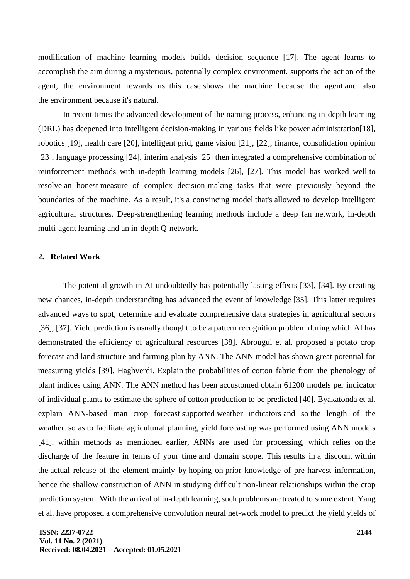modification of machine learning models builds decision sequence [17]. The agent learns to accomplish the aim during a mysterious, potentially complex environment. supports the action of the agent, the environment rewards us. this case shows the machine because the agent and also the environment because it's natural.

In recent times the advanced development of the naming process, enhancing in-depth learning (DRL) has deepened into intelligent decision-making in various fields like power administration[18], robotics [19], health care [20], intelligent grid, game vision [21], [22], finance, consolidation opinion [23], language processing [24], interim analysis [25] then integrated a comprehensive combination of reinforcement methods with in-depth learning models [26], [27]. This model has worked well to resolve an honest measure of complex decision-making tasks that were previously beyond the boundaries of the machine. As a result, it's a convincing model that's allowed to develop intelligent agricultural structures. Deep-strengthening learning methods include a deep fan network, in-depth multi-agent learning and an in-depth Q-network.

## **2. Related Work**

The potential growth in AI undoubtedly has potentially lasting effects [33], [34]. By creating new chances, in-depth understanding has advanced the event of knowledge [35]. This latter requires advanced ways to spot, determine and evaluate comprehensive data strategies in agricultural sectors [36], [37]. Yield prediction is usually thought to be a pattern recognition problem during which AI has demonstrated the efficiency of agricultural resources [38]. Abrougui et al. proposed a potato crop forecast and land structure and farming plan by ANN. The ANN model has shown great potential for measuring yields [39]. Haghverdi. Explain the probabilities of cotton fabric from the phenology of plant indices using ANN. The ANN method has been accustomed obtain 61200 models per indicator of individual plants to estimate the sphere of cotton production to be predicted [40]. Byakatonda et al. explain ANN-based man crop forecast supported weather indicators and so the length of the weather. so as to facilitate agricultural planning, yield forecasting was performed using ANN models [41]. within methods as mentioned earlier, ANNs are used for processing, which relies on the discharge of the feature in terms of your time and domain scope. This results in a discount within the actual release of the element mainly by hoping on prior knowledge of pre-harvest information, hence the shallow construction of ANN in studying difficult non-linear relationships within the crop prediction system. With the arrival of in-depth learning, such problems are treated to some extent. Yang et al. have proposed a comprehensive convolution neural net-work model to predict the yield yields of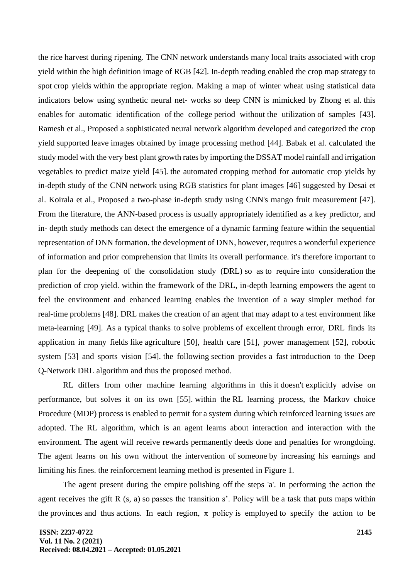the rice harvest during ripening. The CNN network understands many local traits associated with crop yield within the high definition image of RGB [42]. In-depth reading enabled the crop map strategy to spot crop yields within the appropriate region. Making a map of winter wheat using statistical data indicators below using synthetic neural net- works so deep CNN is mimicked by Zhong et al. this enables for automatic identification of the college period without the utilization of samples [43]. Ramesh et al., Proposed a sophisticated neural network algorithm developed and categorized the crop yield supported leave images obtained by image processing method [44]. Babak et al. calculated the study model with the very best plant growth rates by importing the DSSAT model rainfall and irrigation vegetables to predict maize yield [45]. the automated cropping method for automatic crop yields by in-depth study of the CNN network using RGB statistics for plant images [46] suggested by Desai et al. Koirala et al., Proposed a two-phase in-depth study using CNN's mango fruit measurement [47]. From the literature, the ANN-based process is usually appropriately identified as a key predictor, and in- depth study methods can detect the emergence of a dynamic farming feature within the sequential representation of DNN formation. the development of DNN, however, requires a wonderful experience of information and prior comprehension that limits its overall performance. it's therefore important to plan for the deepening of the consolidation study (DRL) so as to require into consideration the prediction of crop yield. within the framework of the DRL, in-depth learning empowers the agent to feel the environment and enhanced learning enables the invention of a way simpler method for real-time problems [48]. DRL makes the creation of an agent that may adapt to a test environment like meta-learning [49]. As a typical thanks to solve problems of excellent through error, DRL finds its application in many fields like agriculture [50], health care [51], power management [52], robotic system [53] and sports vision [54]. the following section provides a fast introduction to the Deep Q-Network DRL algorithm and thus the proposed method.

RL differs from other machine learning algorithms in this it doesn't explicitly advise on performance, but solves it on its own [55]. within the RL learning process, the Markov choice Procedure (MDP) process is enabled to permit for a system during which reinforced learning issues are adopted. The RL algorithm, which is an agent learns about interaction and interaction with the environment. The agent will receive rewards permanently deeds done and penalties for wrongdoing. The agent learns on his own without the intervention of someone by increasing his earnings and limiting his fines. the reinforcement learning method is presented in Figure 1.

The agent present during the empire polishing off the steps 'a'. In performing the action the agent receives the gift R (s, a) so passes the transition s'. Policy will be a task that puts maps within the provinces and thus actions. In each region,  $\pi$  policy is employed to specify the action to be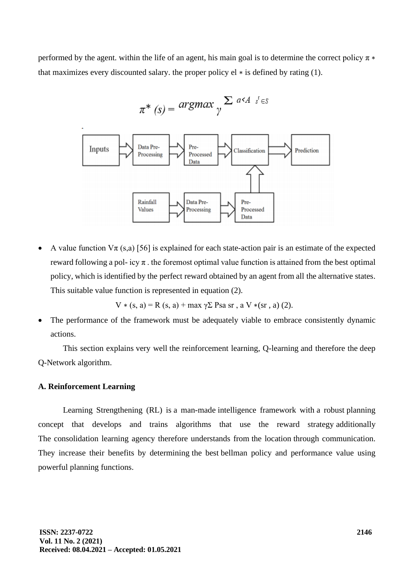performed by the agent. within the life of an agent, his main goal is to determine the correct policy  $\pi *$ that maximizes every discounted salary, the proper policy  $el *$  is defined by rating (1).

$$
\pi^* (s) = \operatorname{argmax}_{\gamma} \sum_{\alpha \leq A} s^{\alpha} A^{-s^{\gamma} \in S}
$$



A value function  $V\pi$  (s,a) [56] is explained for each state-action pair is an estimate of the expected reward following a pol- icy  $\pi$ . the foremost optimal value function is attained from the best optimal policy, which is identified by the perfect reward obtained by an agent from all the alternative states. This suitable value function is represented in equation (2).

 $V*(s, a) = R(s, a) + max \gamma \Sigma \text{ Psa sr } a \text{ V}*(sr, a)$  (2).

The performance of the framework must be adequately viable to embrace consistently dynamic actions.

This section explains very well the reinforcement learning, Q-learning and therefore the deep Q-Network algorithm.

## **A. Reinforcement Learning**

Learning Strengthening (RL) is a man-made intelligence framework with a robust planning concept that develops and trains algorithms that use the reward strategy additionally The consolidation learning agency therefore understands from the location through communication. They increase their benefits by determining the best bellman policy and performance value using powerful planning functions.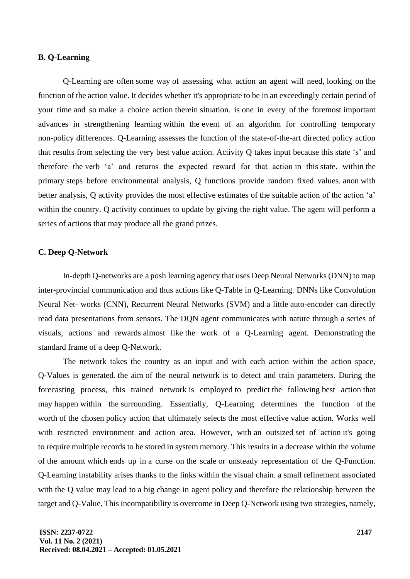# **B. Q-Learning**

Q-Learning are often some way of assessing what action an agent will need, looking on the function of the action value. It decides whether it's appropriate to be in an exceedingly certain period of your time and so make a choice action therein situation. is one in every of the foremost important advances in strengthening learning within the event of an algorithm for controlling temporary non-policy differences. Q-Learning assesses the function of the state-of-the-art directed policy action that results from selecting the very best value action. Activity Q takes input because this state 's' and therefore the verb 'a' and returns the expected reward for that action in this state. within the primary steps before environmental analysis, Q functions provide random fixed values. anon with better analysis, Q activity provides the most effective estimates of the suitable action of the action 'a' within the country. Q activity continues to update by giving the right value. The agent will perform a series of actions that may produce all the grand prizes.

# **C. Deep Q-Network**

In-depth Q-networks are a posh learning agency that uses Deep Neural Networks (DNN) to map inter-provincial communication and thus actions like Q-Table in Q-Learning. DNNs like Convolution Neural Net- works (CNN), Recurrent Neural Networks (SVM) and a little auto-encoder can directly read data presentations from sensors. The DQN agent communicates with nature through a series of visuals, actions and rewards almost like the work of a Q-Learning agent. Demonstrating the standard frame of a deep Q-Network.

The network takes the country as an input and with each action within the action space, Q-Values is generated. the aim of the neural network is to detect and train parameters. During the forecasting process, this trained network is employed to predict the following best action that may happen within the surrounding. Essentially, Q-Learning determines the function of the worth of the chosen policy action that ultimately selects the most effective value action. Works well with restricted environment and action area. However, with an outsized set of action it's going to require multiple records to be stored in system memory. This results in a decrease within the volume of the amount which ends up in a curse on the scale or unsteady representation of the Q-Function. Q-Learning instability arises thanks to the links within the visual chain. a small refinement associated with the Q value may lead to a big change in agent policy and therefore the relationship between the target and Q-Value. This incompatibility is overcome in Deep Q-Network using two strategies, namely,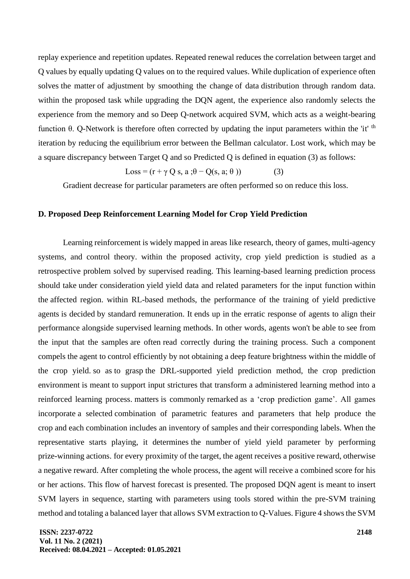replay experience and repetition updates. Repeated renewal reduces the correlation between target and Q values by equally updating Q values on to the required values. While duplication of experience often solves the matter of adjustment by smoothing the change of data distribution through random data. within the proposed task while upgrading the DQN agent, the experience also randomly selects the experience from the memory and so Deep Q-network acquired SVM, which acts as a weight-bearing function θ. Q-Network is therefore often corrected by updating the input parameters within the 'it' <sup>th</sup> iteration by reducing the equilibrium error between the Bellman calculator. Lost work, which may be a square discrepancy between Target Q and so Predicted Q is defined in equation (3) as follows:

$$
Loss = (r + \gamma Q s, a; \theta - Q(s, a; \theta))
$$
 (3)

Gradient decrease for particular parameters are often performed so on reduce this loss.

#### **D. Proposed Deep Reinforcement Learning Model for Crop Yield Prediction**

Learning reinforcement is widely mapped in areas like research, theory of games, multi-agency systems, and control theory. within the proposed activity, crop yield prediction is studied as a retrospective problem solved by supervised reading. This learning-based learning prediction process should take under consideration yield yield data and related parameters for the input function within the affected region. within RL-based methods, the performance of the training of yield predictive agents is decided by standard remuneration. It ends up in the erratic response of agents to align their performance alongside supervised learning methods. In other words, agents won't be able to see from the input that the samples are often read correctly during the training process. Such a component compels the agent to control efficiently by not obtaining a deep feature brightness within the middle of the crop yield. so as to grasp the DRL-supported yield prediction method, the crop prediction environment is meant to support input strictures that transform a administered learning method into a reinforced learning process. matters is commonly remarked as a 'crop prediction game'. All games incorporate a selected combination of parametric features and parameters that help produce the crop and each combination includes an inventory of samples and their corresponding labels. When the representative starts playing, it determines the number of yield yield parameter by performing prize-winning actions. for every proximity of the target, the agent receives a positive reward, otherwise a negative reward. After completing the whole process, the agent will receive a combined score for his or her actions. This flow of harvest forecast is presented. The proposed DQN agent is meant to insert SVM layers in sequence, starting with parameters using tools stored within the pre-SVM training method and totaling a balanced layer that allows SVM extraction to Q-Values. Figure 4 shows the SVM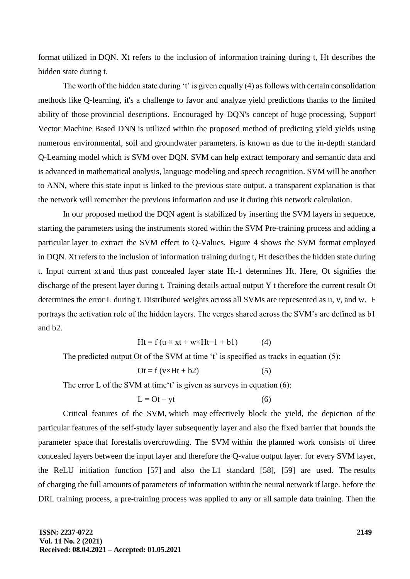format utilized in DQN. Xt refers to the inclusion of information training during t, Ht describes the hidden state during t.

The worth of the hidden state during 't' is given equally (4) as follows with certain consolidation methods like Q-learning, it's a challenge to favor and analyze yield predictions thanks to the limited ability of those provincial descriptions. Encouraged by DQN's concept of huge processing, Support Vector Machine Based DNN is utilized within the proposed method of predicting yield yields using numerous environmental, soil and groundwater parameters. is known as due to the in-depth standard Q-Learning model which is SVM over DQN. SVM can help extract temporary and semantic data and is advanced in mathematical analysis, language modeling and speech recognition. SVM will be another to ANN, where this state input is linked to the previous state output. a transparent explanation is that the network will remember the previous information and use it during this network calculation.

In our proposed method the DQN agent is stabilized by inserting the SVM layers in sequence, starting the parameters using the instruments stored within the SVM Pre-training process and adding a particular layer to extract the SVM effect to Q-Values. Figure 4 shows the SVM format employed in DQN. Xt refers to the inclusion of information training during t, Ht describes the hidden state during t. Input current xt and thus past concealed layer state Ht-1 determines Ht. Here, Ot signifies the discharge of the present layer during t. Training details actual output Y t therefore the current result Ot determines the error L during t. Distributed weights across all SVMs are represented as u, v, and w. F portrays the activation role of the hidden layers. The verges shared across the SVM's are defined as b1 and b2.

$$
Ht = f (u \times xt + w \times Ht - 1 + b1)
$$
 (4)

The predicted output Ot of the SVM at time 't' is specified as tracks in equation (5):

$$
Dt = f(v \times Ht + b2)
$$
 (5)

The error L of the SVM at time't' is given as surveys in equation (6):

$$
L = Ot - yt \tag{6}
$$

Critical features of the SVM, which may effectively block the yield, the depiction of the particular features of the self-study layer subsequently layer and also the fixed barrier that bounds the parameter space that forestalls overcrowding. The SVM within the planned work consists of three concealed layers between the input layer and therefore the Q-value output layer. for every SVM layer, the ReLU initiation function [57] and also the L1 standard [58], [59] are used. The results of charging the full amounts of parameters of information within the neural network if large. before the DRL training process, a pre-training process was applied to any or all sample data training. Then the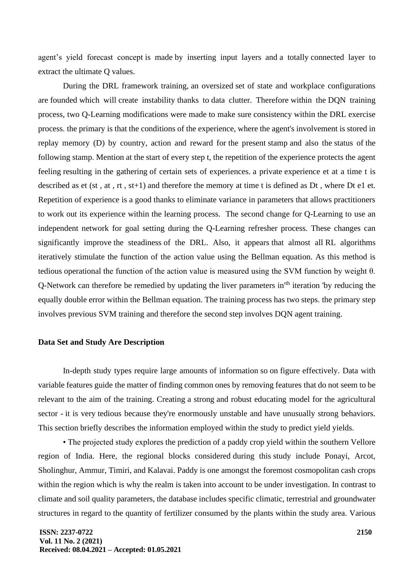agent's yield forecast concept is made by inserting input layers and a totally connected layer to extract the ultimate Q values.

During the DRL framework training, an oversized set of state and workplace configurations are founded which will create instability thanks to data clutter. Therefore within the DQN training process, two Q-Learning modifications were made to make sure consistency within the DRL exercise process. the primary is that the conditions of the experience, where the agent's involvement is stored in replay memory (D) by country, action and reward for the present stamp and also the status of the following stamp. Mention at the start of every step t, the repetition of the experience protects the agent feeling resulting in the gathering of certain sets of experiences. a private experience et at a time t is described as et (st , at , rt , st+1) and therefore the memory at time t is defined as Dt , where Dt e1 et. Repetition of experience is a good thanks to eliminate variance in parameters that allows practitioners to work out its experience within the learning process. The second change for Q-Learning to use an independent network for goal setting during the Q-Learning refresher process. These changes can significantly improve the steadiness of the DRL. Also, it appears that almost all RL algorithms iteratively stimulate the function of the action value using the Bellman equation. As this method is tedious operational the function of the action value is measured using the SVM function by weight θ. Q-Network can therefore be remedied by updating the liver parameters in'th iteration 'by reducing the equally double error within the Bellman equation. The training process has two steps. the primary step involves previous SVM training and therefore the second step involves DQN agent training.

# **Data Set and Study Are Description**

In-depth study types require large amounts of information so on figure effectively. Data with variable features guide the matter of finding common ones by removing features that do not seem to be relevant to the aim of the training. Creating a strong and robust educating model for the agricultural sector - it is very tedious because they're enormously unstable and have unusually strong behaviors. This section briefly describes the information employed within the study to predict yield yields.

• The projected study explores the prediction of a paddy crop yield within the southern Vellore region of India. Here, the regional blocks considered during this study include Ponayi, Arcot, Sholinghur, Ammur, Timiri, and Kalavai. Paddy is one amongst the foremost cosmopolitan cash crops within the region which is why the realm is taken into account to be under investigation. In contrast to climate and soil quality parameters, the database includes specific climatic, terrestrial and groundwater structures in regard to the quantity of fertilizer consumed by the plants within the study area. Various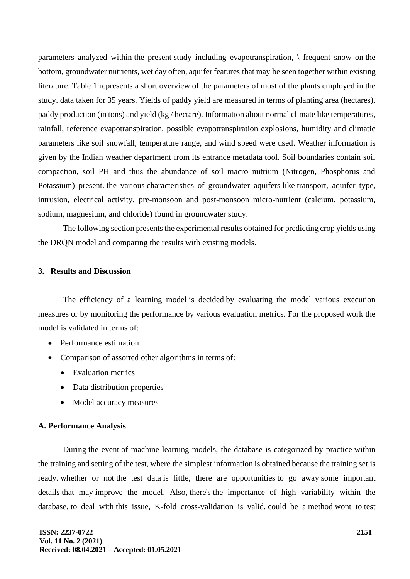parameters analyzed within the present study including evapotranspiration, \ frequent snow on the bottom, groundwater nutrients, wet day often, aquifer features that may be seen together within existing literature. Table 1 represents a short overview of the parameters of most of the plants employed in the study. data taken for 35 years. Yields of paddy yield are measured in terms of planting area (hectares), paddy production (in tons) and yield (kg / hectare). Information about normal climate like temperatures, rainfall, reference evapotranspiration, possible evapotranspiration explosions, humidity and climatic parameters like soil snowfall, temperature range, and wind speed were used. Weather information is given by the Indian weather department from its entrance metadata tool. Soil boundaries contain soil compaction, soil PH and thus the abundance of soil macro nutrium (Nitrogen, Phosphorus and Potassium) present. the various characteristics of groundwater aquifers like transport, aquifer type, intrusion, electrical activity, pre-monsoon and post-monsoon micro-nutrient (calcium, potassium, sodium, magnesium, and chloride) found in groundwater study.

The following section presents the experimental results obtained for predicting crop yields using the DRQN model and comparing the results with existing models.

# **3. Results and Discussion**

The efficiency of a learning model is decided by evaluating the model various execution measures or by monitoring the performance by various evaluation metrics. For the proposed work the model is validated in terms of:

- Performance estimation
- Comparison of assorted other algorithms in terms of:
	- Evaluation metrics
	- Data distribution properties
	- Model accuracy measures

# **A. Performance Analysis**

During the event of machine learning models, the database is categorized by practice within the training and setting of the test, where the simplest information is obtained because the training set is ready. whether or not the test data is little, there are opportunities to go away some important details that may improve the model. Also, there's the importance of high variability within the database. to deal with this issue, K-fold cross-validation is valid. could be a method wont to test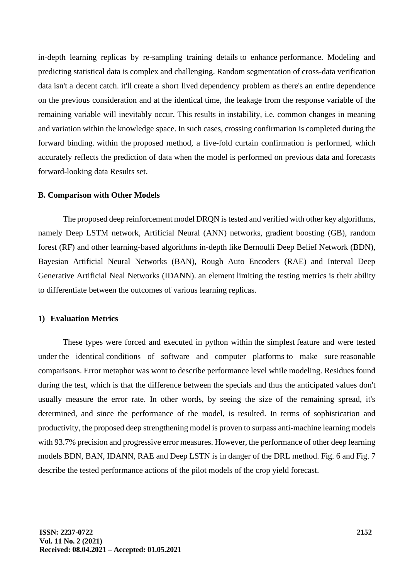in-depth learning replicas by re-sampling training details to enhance performance. Modeling and predicting statistical data is complex and challenging. Random segmentation of cross-data verification data isn't a decent catch. it'll create a short lived dependency problem as there's an entire dependence on the previous consideration and at the identical time, the leakage from the response variable of the remaining variable will inevitably occur. This results in instability, i.e. common changes in meaning and variation within the knowledge space. In such cases, crossing confirmation is completed during the forward binding. within the proposed method, a five-fold curtain confirmation is performed, which accurately reflects the prediction of data when the model is performed on previous data and forecasts forward-looking data Results set.

## **B. Comparison with Other Models**

The proposed deep reinforcement model DRQN is tested and verified with other key algorithms, namely Deep LSTM network, Artificial Neural (ANN) networks, gradient boosting (GB), random forest (RF) and other learning-based algorithms in-depth like Bernoulli Deep Belief Network (BDN), Bayesian Artificial Neural Networks (BAN), Rough Auto Encoders (RAE) and Interval Deep Generative Artificial Neal Networks (IDANN). an element limiting the testing metrics is their ability to differentiate between the outcomes of various learning replicas.

## **1) Evaluation Metrics**

These types were forced and executed in python within the simplest feature and were tested under the identical conditions of software and computer platforms to make sure reasonable comparisons. Error metaphor was wont to describe performance level while modeling. Residues found during the test, which is that the difference between the specials and thus the anticipated values don't usually measure the error rate. In other words, by seeing the size of the remaining spread, it's determined, and since the performance of the model, is resulted. In terms of sophistication and productivity, the proposed deep strengthening model is proven to surpass anti-machine learning models with 93.7% precision and progressive error measures. However, the performance of other deep learning models BDN, BAN, IDANN, RAE and Deep LSTN is in danger of the DRL method. Fig. 6 and Fig. 7 describe the tested performance actions of the pilot models of the crop yield forecast.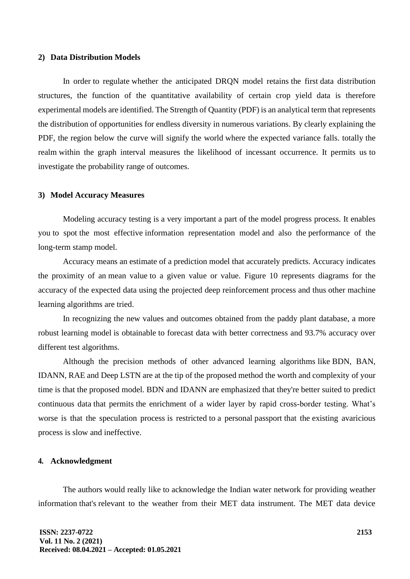#### **2) Data Distribution Models**

In order to regulate whether the anticipated DRQN model retains the first data distribution structures, the function of the quantitative availability of certain crop yield data is therefore experimental models are identified. The Strength of Quantity (PDF) is an analytical term that represents the distribution of opportunities for endless diversity in numerous variations. By clearly explaining the PDF, the region below the curve will signify the world where the expected variance falls. totally the realm within the graph interval measures the likelihood of incessant occurrence. It permits us to investigate the probability range of outcomes.

#### **3) Model Accuracy Measures**

Modeling accuracy testing is a very important a part of the model progress process. It enables you to spot the most effective information representation model and also the performance of the long-term stamp model.

Accuracy means an estimate of a prediction model that accurately predicts. Accuracy indicates the proximity of an mean value to a given value or value. Figure 10 represents diagrams for the accuracy of the expected data using the projected deep reinforcement process and thus other machine learning algorithms are tried.

In recognizing the new values and outcomes obtained from the paddy plant database, a more robust learning model is obtainable to forecast data with better correctness and 93.7% accuracy over different test algorithms.

Although the precision methods of other advanced learning algorithms like BDN, BAN, IDANN, RAE and Deep LSTN are at the tip of the proposed method the worth and complexity of your time is that the proposed model. BDN and IDANN are emphasized that they're better suited to predict continuous data that permits the enrichment of a wider layer by rapid cross-border testing. What's worse is that the speculation process is restricted to a personal passport that the existing avaricious process is slow and ineffective.

# **4. Acknowledgment**

The authors would really like to acknowledge the Indian water network for providing weather information that's relevant to the weather from their MET data instrument. The MET data device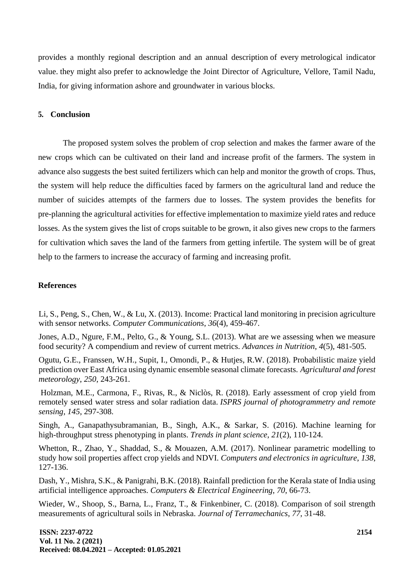provides a monthly regional description and an annual description of every metrological indicator value. they might also prefer to acknowledge the Joint Director of Agriculture, Vellore, Tamil Nadu, India, for giving information ashore and groundwater in various blocks.

## **5. Conclusion**

The proposed system solves the problem of crop selection and makes the farmer aware of the new crops which can be cultivated on their land and increase profit of the farmers. The system in advance also suggests the best suited fertilizers which can help and monitor the growth of crops. Thus, the system will help reduce the difficulties faced by farmers on the agricultural land and reduce the number of suicides attempts of the farmers due to losses. The system provides the benefits for pre-planning the agricultural activities for effective implementation to maximize yield rates and reduce losses. As the system gives the list of crops suitable to be grown, it also gives new crops to the farmers for cultivation which saves the land of the farmers from getting infertile. The system will be of great help to the farmers to increase the accuracy of farming and increasing profit.

# **References**

Li, S., Peng, S., Chen, W., & Lu, X. (2013). Income: Practical land monitoring in precision agriculture with sensor networks. *Computer Communications*, *36*(4), 459-467.

Jones, A.D., Ngure, F.M., Pelto, G., & Young, S.L. (2013). What are we assessing when we measure food security? A compendium and review of current metrics. *Advances in Nutrition*, *4*(5), 481-505.

Ogutu, G.E., Franssen, W.H., Supit, I., Omondi, P., & Hutjes, R.W. (2018). Probabilistic maize yield prediction over East Africa using dynamic ensemble seasonal climate forecasts. *Agricultural and forest meteorology*, *250*, 243-261.

Holzman, M.E., Carmona, F., Rivas, R., & Niclòs, R. (2018). Early assessment of crop yield from remotely sensed water stress and solar radiation data. *ISPRS journal of photogrammetry and remote sensing*, *145*, 297-308.

Singh, A., Ganapathysubramanian, B., Singh, A.K., & Sarkar, S. (2016). Machine learning for high-throughput stress phenotyping in plants. *Trends in plant science*, *21*(2), 110-124.

Whetton, R., Zhao, Y., Shaddad, S., & Mouazen, A.M. (2017). Nonlinear parametric modelling to study how soil properties affect crop yields and NDVI. *Computers and electronics in agriculture*, *138*, 127-136.

Dash, Y., Mishra, S.K., & Panigrahi, B.K. (2018). Rainfall prediction for the Kerala state of India using artificial intelligence approaches. *Computers & Electrical Engineering*, *70*, 66-73.

Wieder, W., Shoop, S., Barna, L., Franz, T., & Finkenbiner, C. (2018). Comparison of soil strength measurements of agricultural soils in Nebraska. *Journal of Terramechanics*, *77*, 31-48.